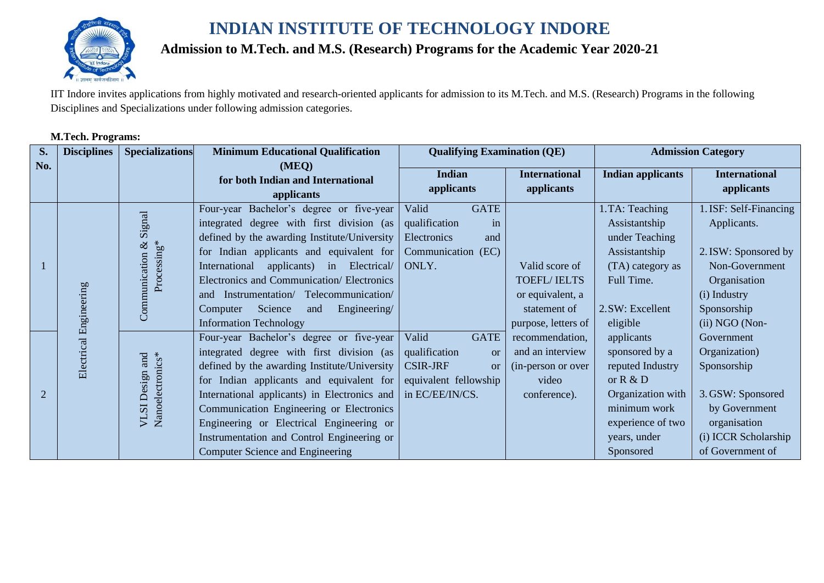

# **Admission to M.Tech. and M.S. (Research) Programs for the Academic Year 2020-21**

IIT Indore invites applications from highly motivated and research-oriented applicants for admission to its M.Tech. and M.S. (Research) Programs in the following Disciplines and Specializations under following admission categories.

## **M.Tech. Programs:**

| S.             | <b>Disciplines</b>     | <b>Specializations</b>                   | <b>Minimum Educational Qualification</b>                                                                                                                                                                                                                                                                                                                                                                           | <b>Qualifying Examination (QE)</b>                                                                                                 |                                                                                                 |                                                                                                                                                       | <b>Admission Category</b>                                                                                                                        |
|----------------|------------------------|------------------------------------------|--------------------------------------------------------------------------------------------------------------------------------------------------------------------------------------------------------------------------------------------------------------------------------------------------------------------------------------------------------------------------------------------------------------------|------------------------------------------------------------------------------------------------------------------------------------|-------------------------------------------------------------------------------------------------|-------------------------------------------------------------------------------------------------------------------------------------------------------|--------------------------------------------------------------------------------------------------------------------------------------------------|
| No.            |                        |                                          | (MEQ)<br>for both Indian and International<br>applicants                                                                                                                                                                                                                                                                                                                                                           | <b>Indian</b><br>applicants                                                                                                        | <b>International</b><br>applicants                                                              | <b>Indian applicants</b>                                                                                                                              | <b>International</b><br>applicants                                                                                                               |
|                | Electrical Engineering | Signal<br>Processing*<br>Communication & | Four-year Bachelor's degree or five-year<br>integrated degree with first division (as<br>defined by the awarding Institute/University<br>for Indian applicants and equivalent for<br>International applicants) in Electrical/<br>Electronics and Communication/Electronics<br>and Instrumentation/ Telecommunication/<br>Science<br>Engineering/<br>and<br>Computer<br><b>Information Technology</b>               | <b>GATE</b><br>Valid<br>qualification<br>in<br>Electronics<br>and<br>Communication (EC)<br>ONLY.                                   | Valid score of<br><b>TOEFL/IELTS</b><br>or equivalent, a<br>statement of<br>purpose, letters of | 1. TA: Teaching<br>Assistantship<br>under Teaching<br>Assistantship<br>(TA) category as<br>Full Time.<br>2. SW: Excellent<br>eligible                 | 1. ISF: Self-Financing<br>Applicants.<br>2. ISW: Sponsored by<br>Non-Government<br>Organisation<br>(i) Industry<br>Sponsorship<br>(ii) NGO (Non- |
| $\overline{2}$ |                        | Nanoelectronics*<br>and<br>VLSI Design   | Four-year Bachelor's degree or five-year<br>integrated degree with first division (as<br>defined by the awarding Institute/University<br>for Indian applicants and equivalent for<br>International applicants) in Electronics and<br>Communication Engineering or Electronics<br>Engineering or Electrical Engineering or<br>Instrumentation and Control Engineering or<br><b>Computer Science and Engineering</b> | Valid<br><b>GATE</b><br>qualification<br><sub>or</sub><br><b>CSIR-JRF</b><br><b>or</b><br>equivalent fellowship<br>in EC/EE/IN/CS. | recommendation,<br>and an interview<br>(in-person or over<br>video<br>conference).              | applicants<br>sponsored by a<br>reputed Industry<br>or $R & D$<br>Organization with<br>minimum work<br>experience of two<br>years, under<br>Sponsored | Government<br>Organization)<br>Sponsorship<br>3. GSW: Sponsored<br>by Government<br>organisation<br>(i) ICCR Scholarship<br>of Government of     |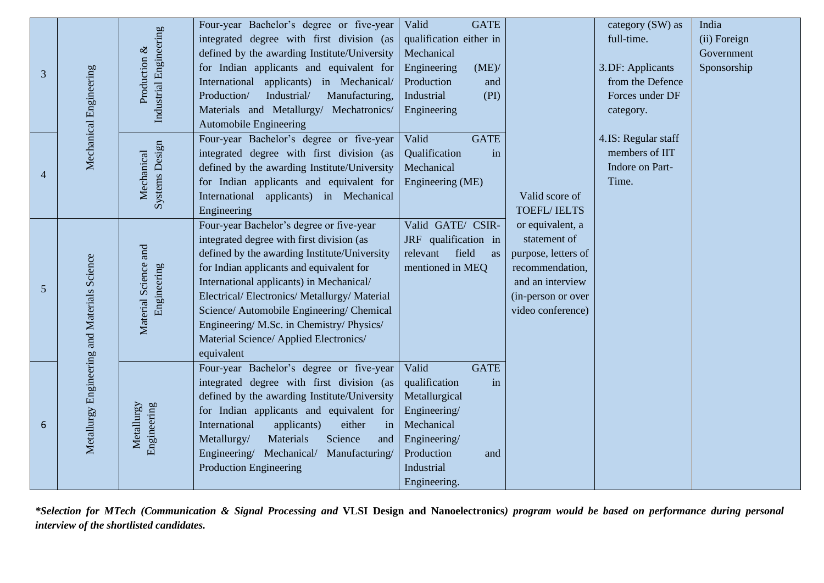| <b>GATE</b>                                                                                                                                                                                                        | category (SW) as<br>India       |
|--------------------------------------------------------------------------------------------------------------------------------------------------------------------------------------------------------------------|---------------------------------|
| qualification either in                                                                                                                                                                                            | full-time.<br>(ii) Foreign      |
|                                                                                                                                                                                                                    | Government                      |
| (ME)                                                                                                                                                                                                               | 3.DF: Applicants<br>Sponsorship |
| and                                                                                                                                                                                                                | from the Defence                |
| (PI)                                                                                                                                                                                                               | Forces under DF                 |
|                                                                                                                                                                                                                    | category.                       |
|                                                                                                                                                                                                                    |                                 |
| <b>GATE</b>                                                                                                                                                                                                        | 4.IS: Regular staff             |
| in                                                                                                                                                                                                                 | members of IIT                  |
|                                                                                                                                                                                                                    | Indore on Part-                 |
|                                                                                                                                                                                                                    | Time.                           |
| Valid score of                                                                                                                                                                                                     |                                 |
| <b>TOEFL/IELTS</b>                                                                                                                                                                                                 |                                 |
|                                                                                                                                                                                                                    |                                 |
|                                                                                                                                                                                                                    |                                 |
| as                                                                                                                                                                                                                 |                                 |
|                                                                                                                                                                                                                    |                                 |
|                                                                                                                                                                                                                    |                                 |
|                                                                                                                                                                                                                    |                                 |
|                                                                                                                                                                                                                    |                                 |
|                                                                                                                                                                                                                    |                                 |
|                                                                                                                                                                                                                    |                                 |
|                                                                                                                                                                                                                    |                                 |
|                                                                                                                                                                                                                    |                                 |
|                                                                                                                                                                                                                    |                                 |
|                                                                                                                                                                                                                    |                                 |
|                                                                                                                                                                                                                    |                                 |
|                                                                                                                                                                                                                    |                                 |
|                                                                                                                                                                                                                    |                                 |
|                                                                                                                                                                                                                    |                                 |
|                                                                                                                                                                                                                    |                                 |
| Valid GATE/ CSIR-<br>or equivalent, a<br>JRF qualification in<br>statement of<br>purpose, letters of<br>recommendation,<br>and an interview<br>(in-person or over<br>video conference)<br><b>GATE</b><br>in<br>and |                                 |

*\*Selection for MTech (Communication & Signal Processing and* **VLSI Design and Nanoelectronics***) program would be based on performance during personal interview of the shortlisted candidates.*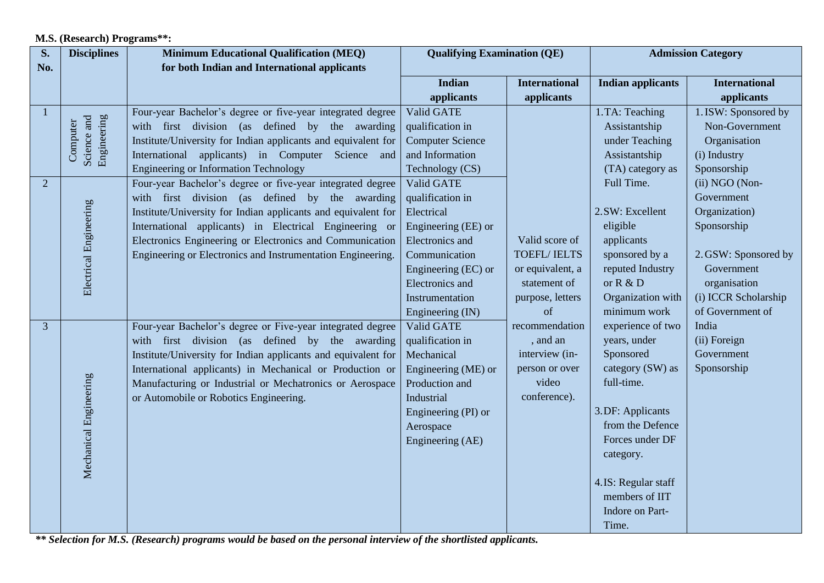#### **M.S. (Research) Programs\*\*:**

| <b>International</b><br>applicants                       |
|----------------------------------------------------------|
|                                                          |
|                                                          |
|                                                          |
| 1. ISW: Sponsored by                                     |
| Non-Government                                           |
| Organisation                                             |
|                                                          |
| Sponsorship                                              |
| (ii) NGO (Non-                                           |
| Government                                               |
| Organization)                                            |
|                                                          |
|                                                          |
| 2. GSW: Sponsored by                                     |
| Government                                               |
| organisation                                             |
| (i) ICCR Scholarship                                     |
| of Government of                                         |
|                                                          |
|                                                          |
|                                                          |
|                                                          |
|                                                          |
|                                                          |
|                                                          |
|                                                          |
|                                                          |
|                                                          |
|                                                          |
|                                                          |
|                                                          |
|                                                          |
| Sponsorship<br>(ii) Foreign<br>Government<br>Sponsorship |

*\*\* Selection for M.S. (Research) programs would be based on the personal interview of the shortlisted applicants.*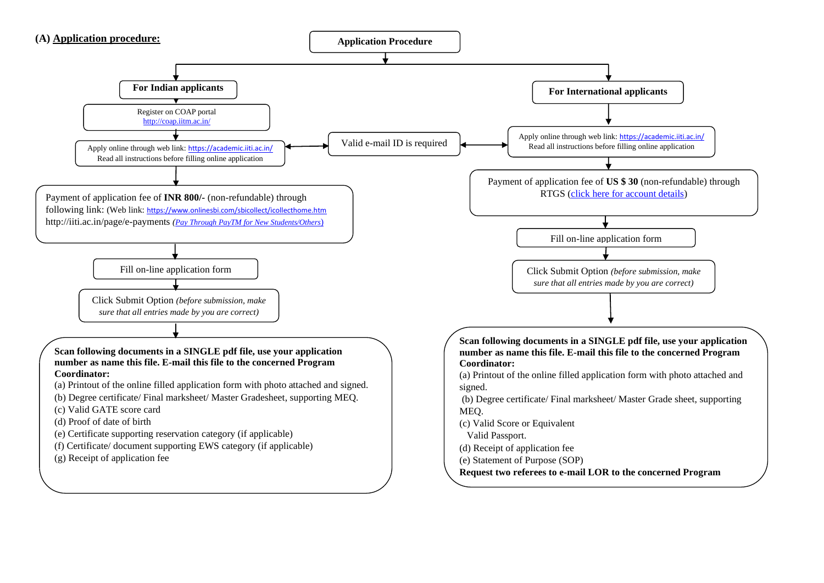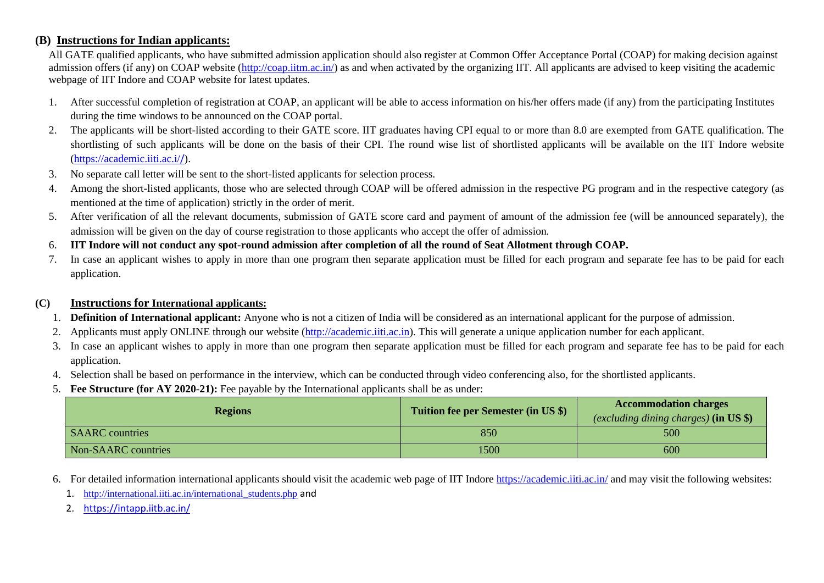#### **(B) Instructions for Indian applicants:**

 All GATE qualified applicants, who have submitted admission application should also register at Common Offer Acceptance Portal (COAP) for making decision against admission offers (if any) on COAP website [\(http://coap.iitm.ac.in/\)](http://coap.iitm.ac.in/) as and when activated by the organizing IIT. All applicants are advised to keep visiting the academic webpage of IIT Indore and COAP website for latest updates.

- 1. After successful completion of registration at COAP, an applicant will be able to access information on his/her offers made (if any) from the participating Institutes during the time windows to be announced on the COAP portal.
- 2. The applicants will be short-listed according to their GATE score. IIT graduates having CPI equal to or more than 8.0 are exempted from GATE qualification. The shortlisting of such applicants will be done on the basis of their CPI. The round wise list of shortlisted applicants will be available on the IIT Indore website [\(https://academic.iiti.ac.i/](https://academic.iiti.ac.i/)/).
- 3. No separate call letter will be sent to the short-listed applicants for selection process.
- 4. Among the short-listed applicants, those who are selected through COAP will be offered admission in the respective PG program and in the respective category (as mentioned at the time of application) strictly in the order of merit.
- 5. After verification of all the relevant documents, submission of GATE score card and payment of amount of the admission fee (will be announced separately), the admission will be given on the day of course registration to those applicants who accept the offer of admission.
- 6. **IIT Indore will not conduct any spot-round admission after completion of all the round of Seat Allotment through COAP.**
- 7. In case an applicant wishes to apply in more than one program then separate application must be filled for each program and separate fee has to be paid for each application.

#### **(C) Instructions for International applicants:**

- 1. **Definition of International applicant:** Anyone who is not a citizen of India will be considered as an international applicant for the purpose of admission.
- 2. Applicants must apply ONLINE through our website [\(http://academic.iiti.ac.in\)](http://academic.iiti.ac.in/). This will generate a unique application number for each applicant.
- 3. In case an applicant wishes to apply in more than one program then separate application must be filled for each program and separate fee has to be paid for each application.
- 4. Selection shall be based on performance in the interview, which can be conducted through video conferencing also, for the shortlisted applicants.
- 5. **Fee Structure (for AY 2020-21):** Fee payable by the International applicants shall be as under:

| <b>Regions</b>         | <b>Tuition fee per Semester (in US \$)</b> | <b>Accommodation charges</b>                    |  |
|------------------------|--------------------------------------------|-------------------------------------------------|--|
|                        |                                            | (excluding dining charges) $(in \text{ US } $)$ |  |
| <b>SAARC</b> countries | 850                                        | 500                                             |  |
| Non-SAARC countries    | 1500                                       | 600                                             |  |

6. For detailed information international applicants should visit the academic web page of IIT Indore<https://academic.iiti.ac.in/> and may visit the following websites:

1. [http://international.iiti.ac.in/international\\_students.php](http://international.iiti.ac.in/international_students.php) and

2. <https://intapp.iitb.ac.in/>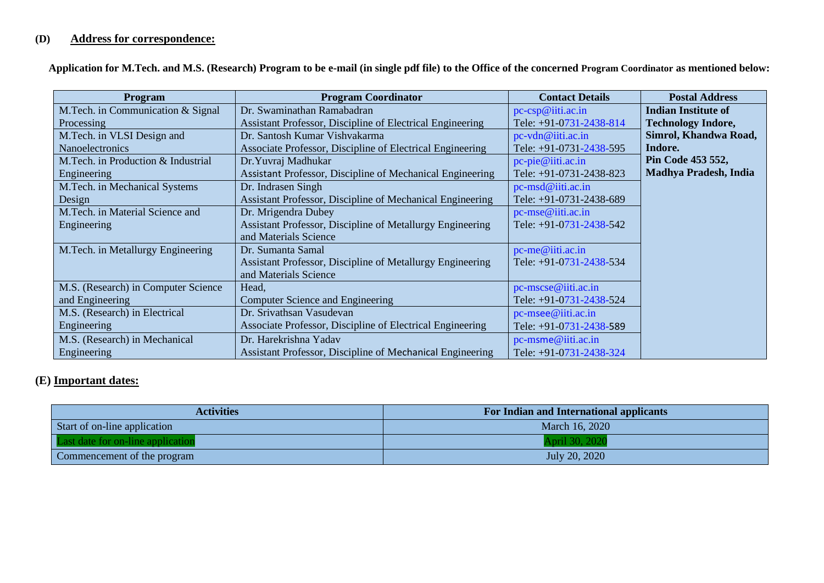# **(D) Address for correspondence:**

 **Application for M.Tech. and M.S. (Research) Program to be e-mail (in single pdf file) to the Office of the concerned Program Coordinator as mentioned below:** 

| <b>Program</b>                      | <b>Program Coordinator</b>                                       | <b>Contact Details</b>  | <b>Postal Address</b>        |
|-------------------------------------|------------------------------------------------------------------|-------------------------|------------------------------|
| M.Tech. in Communication & Signal   | Dr. Swaminathan Ramabadran                                       | pc-csp@iiti.ac.in       | <b>Indian Institute of</b>   |
| Processing                          | <b>Assistant Professor, Discipline of Electrical Engineering</b> | Tele: +91-0731-2438-814 | <b>Technology Indore,</b>    |
| M.Tech. in VLSI Design and          | Dr. Santosh Kumar Vishvakarma                                    | pc-vdn@iiti.ac.in       | Simrol, Khandwa Road,        |
| Nanoelectronics                     | Associate Professor, Discipline of Electrical Engineering        | Tele: +91-0731-2438-595 | Indore.                      |
| M. Tech. in Production & Industrial | Dr. Yuvraj Madhukar                                              | pc-pie@iiti.ac.in       | Pin Code 453 552,            |
| Engineering                         | Assistant Professor, Discipline of Mechanical Engineering        | Tele: +91-0731-2438-823 | <b>Madhya Pradesh, India</b> |
| M.Tech. in Mechanical Systems       | Dr. Indrasen Singh                                               | pc-msd@iiti.ac.in       |                              |
| Design                              | Assistant Professor, Discipline of Mechanical Engineering        | Tele: +91-0731-2438-689 |                              |
| M.Tech. in Material Science and     | Dr. Mrigendra Dubey                                              | pc-mse@iiti.ac.in       |                              |
| Engineering                         | <b>Assistant Professor, Discipline of Metallurgy Engineering</b> | Tele: +91-0731-2438-542 |                              |
|                                     | and Materials Science                                            |                         |                              |
| M.Tech. in Metallurgy Engineering   | Dr. Sumanta Samal                                                | pc-me@iiti.ac.in        |                              |
|                                     | <b>Assistant Professor, Discipline of Metallurgy Engineering</b> | Tele: +91-0731-2438-534 |                              |
|                                     | and Materials Science                                            |                         |                              |
| M.S. (Research) in Computer Science | Head,                                                            | pc-mscse@iiti.ac.in     |                              |
| and Engineering                     | Computer Science and Engineering                                 | Tele: +91-0731-2438-524 |                              |
| M.S. (Research) in Electrical       | Dr. Srivathsan Vasudevan                                         | pc-msee@iiti.ac.in      |                              |
| Engineering                         | Associate Professor, Discipline of Electrical Engineering        | Tele: +91-0731-2438-589 |                              |
| M.S. (Research) in Mechanical       | Dr. Harekrishna Yadav                                            | pc-msme@iiti.ac.in      |                              |
| Engineering                         | Assistant Professor, Discipline of Mechanical Engineering        | Tele: +91-0731-2438-324 |                              |

### **(E) Important dates:**

| <b>Activities</b>                 | For Indian and International applicants |
|-----------------------------------|-----------------------------------------|
| Start of on-line application      | March 16, 2020                          |
| Last date for on-line application | April 30, 2020                          |
| Commencement of the program       | July 20, 2020                           |